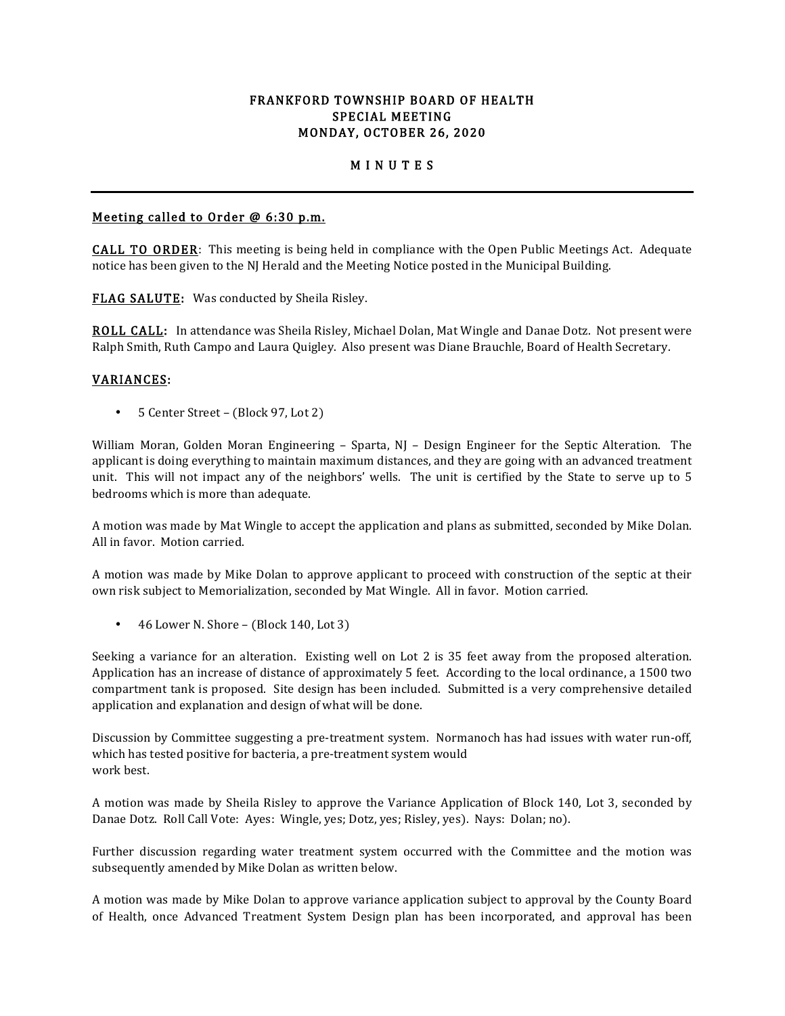## FRANKFORD TOWNSHIP BOARD OF HEALTH SPECIAL MEETING MONDAY, OCTOBER 26, 2020

# M I N U T E S

#### Meeting called to Order @ 6:30 p.m.

CALL TO ORDER: This meeting is being held in compliance with the Open Public Meetings Act. Adequate notice has been given to the NJ Herald and the Meeting Notice posted in the Municipal Building.

FLAG SALUTE: Was conducted by Sheila Risley.

ROLL CALL: In attendance was Sheila Risley, Michael Dolan, Mat Wingle and Danae Dotz. Not present were Ralph Smith, Ruth Campo and Laura Quigley. Also present was Diane Brauchle, Board of Health Secretary.

#### VARIANCES:

• 5 Center Street – (Block 97, Lot 2)

William Moran, Golden Moran Engineering – Sparta, NJ – Design Engineer for the Septic Alteration. The applicant is doing everything to maintain maximum distances, and they are going with an advanced treatment unit. This will not impact any of the neighbors' wells. The unit is certified by the State to serve up to 5 bedrooms which is more than adequate.

A motion was made by Mat Wingle to accept the application and plans as submitted, seconded by Mike Dolan. All in favor. Motion carried.

A motion was made by Mike Dolan to approve applicant to proceed with construction of the septic at their own risk subject to Memorialization, seconded by Mat Wingle. All in favor. Motion carried.

• 46 Lower N. Shore – (Block 140, Lot 3)

Seeking a variance for an alteration. Existing well on Lot 2 is 35 feet away from the proposed alteration. Application has an increase of distance of approximately 5 feet. According to the local ordinance, a 1500 two compartment tank is proposed. Site design has been included. Submitted is a very comprehensive detailed application and explanation and design of what will be done.

Discussion by Committee suggesting a pre-treatment system. Normanoch has had issues with water run-off, which has tested positive for bacteria, a pre-treatment system would work best.

A motion was made by Sheila Risley to approve the Variance Application of Block 140, Lot 3, seconded by Danae Dotz. Roll Call Vote: Ayes: Wingle, yes; Dotz, yes; Risley, yes). Nays: Dolan; no).

Further discussion regarding water treatment system occurred with the Committee and the motion was subsequently amended by Mike Dolan as written below.

A motion was made by Mike Dolan to approve variance application subject to approval by the County Board of Health, once Advanced Treatment System Design plan has been incorporated, and approval has been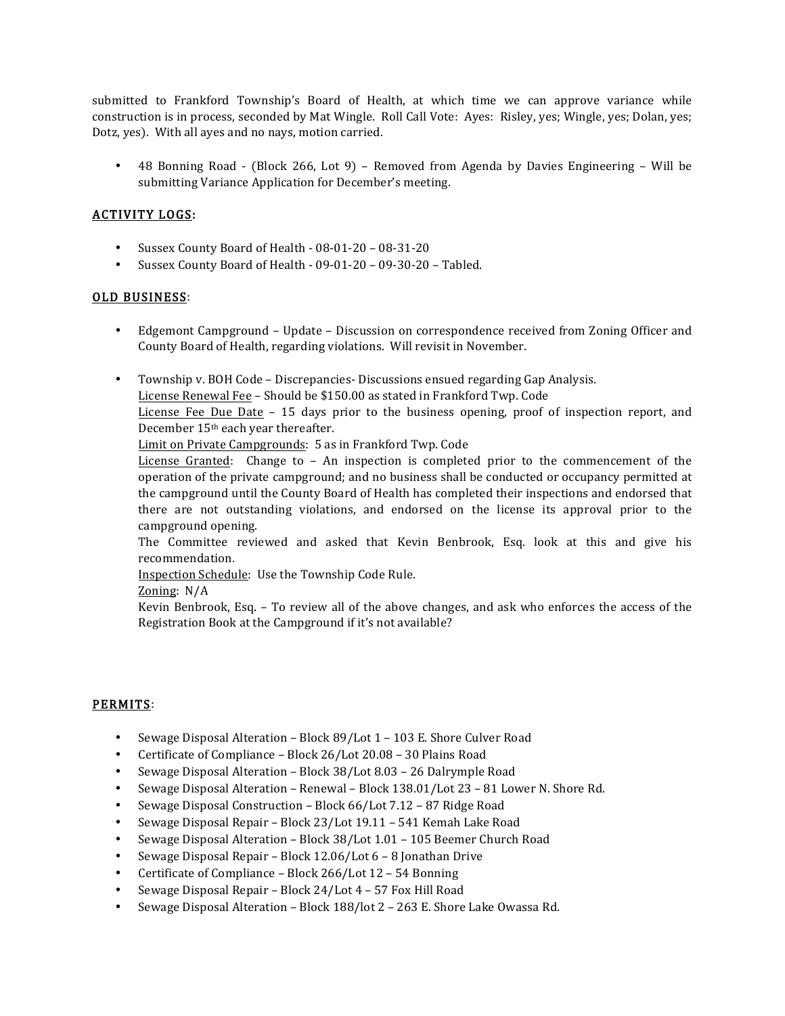submitted to Frankford Township's Board of Health, at which time we can approve variance while construction is in process, seconded by Mat Wingle. Roll Call Vote: Ayes: Risley, yes; Wingle, yes; Dolan, yes; Dotz, yes). With all ayes and no nays, motion carried.

• 48 Bonning Road - (Block 266, Lot 9) – Removed from Agenda by Davies Engineering – Will be submitting Variance Application for December's meeting.

## ACTIVITY LOGS:

- Sussex County Board of Health 08-01-20 08-31-20
- Sussex County Board of Health 09-01-20 09-30-20 Tabled.

#### OLD BUSINESS:

- Edgemont Campground Update Discussion on correspondence received from Zoning Officer and County Board of Health, regarding violations. Will revisit in November.
- Township v. BOH Code Discrepancies- Discussions ensued regarding Gap Analysis. License Renewal Fee – Should be \$150.00 as stated in Frankford Twp. Code License Fee Due Date – 15 days prior to the business opening, proof of inspection report, and December 15th each year thereafter.

Limit on Private Campgrounds: 5 as in Frankford Twp. Code

License Granted: Change to – An inspection is completed prior to the commencement of the operation of the private campground; and no business shall be conducted or occupancy permitted at the campground until the County Board of Health has completed their inspections and endorsed that there are not outstanding violations, and endorsed on the license its approval prior to the campground opening.

The Committee reviewed and asked that Kevin Benbrook, Esq. look at this and give his recommendation.

Inspection Schedule: Use the Township Code Rule.

Zoning: N/A

Kevin Benbrook, Esq. – To review all of the above changes, and ask who enforces the access of the Registration Book at the Campground if it's not available?

## PERMITS:

- Sewage Disposal Alteration Block 89/Lot 1 103 E. Shore Culver Road
- Certificate of Compliance Block 26/Lot 20.08 30 Plains Road
- Sewage Disposal Alteration Block 38/Lot 8.03 26 Dalrymple Road
- Sewage Disposal Alteration Renewal Block 138.01/Lot 23 81 Lower N. Shore Rd.
- Sewage Disposal Construction Block 66/Lot 7.12 87 Ridge Road
- Sewage Disposal Repair Block 23/Lot 19.11 541 Kemah Lake Road
- Sewage Disposal Alteration Block 38/Lot 1.01 105 Beemer Church Road
- Sewage Disposal Repair Block 12.06/Lot 6 8 Jonathan Drive
- Certificate of Compliance Block 266/Lot 12 54 Bonning
- Sewage Disposal Repair Block 24/Lot 4 57 Fox Hill Road
- Sewage Disposal Alteration Block 188/lot 2 263 E. Shore Lake Owassa Rd.